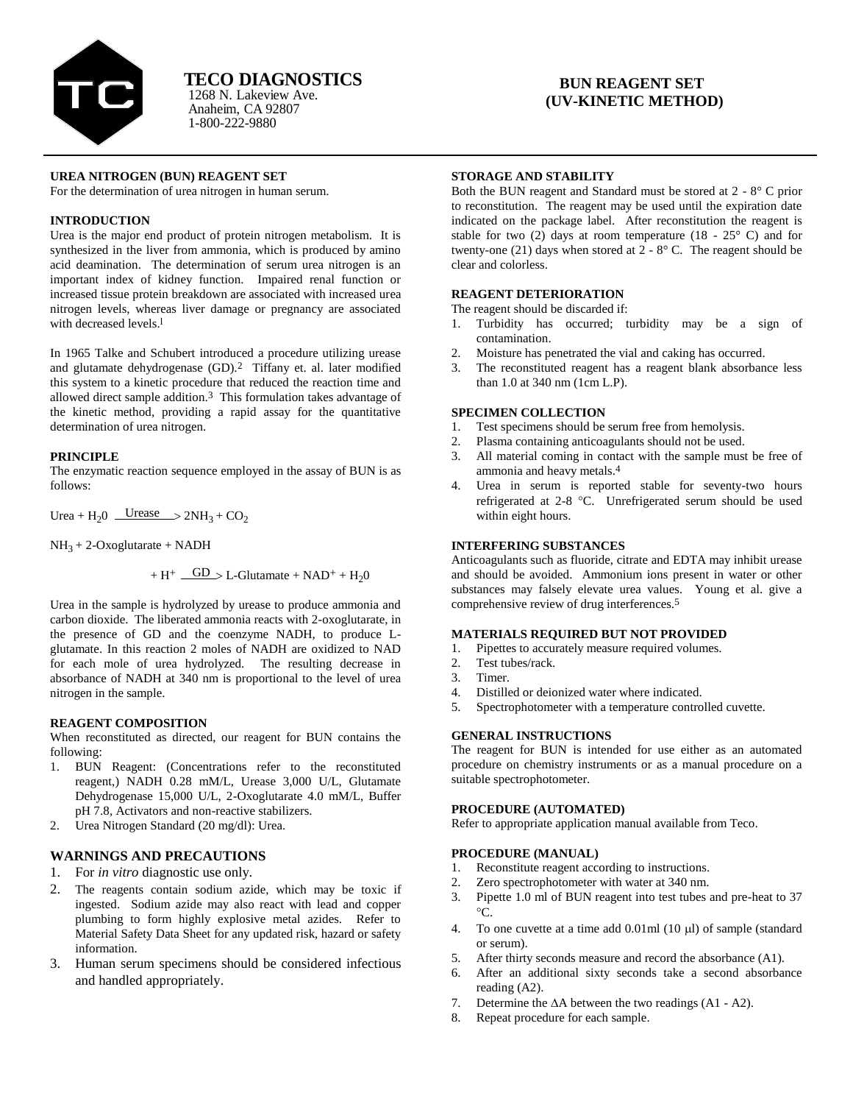

Anaheim, CA 92807 1-800-222-9880 1268 N. Lakeview Ave.

# **BUN REAGENT SET (UV-KINETIC METHOD)**

# **UREA NITROGEN (BUN) REAGENT SET**

For the determination of urea nitrogen in human serum.

# **INTRODUCTION**

Urea is the major end product of protein nitrogen metabolism. It is synthesized in the liver from ammonia, which is produced by amino acid deamination. The determination of serum urea nitrogen is an important index of kidney function. Impaired renal function or increased tissue protein breakdown are associated with increased urea nitrogen levels, whereas liver damage or pregnancy are associated with decreased levels.l

In 1965 Talke and Schubert introduced a procedure utilizing urease and glutamate dehydrogenase (GD).2 Tiffany et. al. later modified this system to a kinetic procedure that reduced the reaction time and allowed direct sample addition.3 This formulation takes advantage of the kinetic method, providing a rapid assay for the quantitative determination of urea nitrogen.

#### **PRINCIPLE**

The enzymatic reaction sequence employed in the assay of BUN is as follows:

Urea + H<sub>2</sub>0 Urease  $> 2NH_3 + CO_2$ 

 $NH<sub>3</sub> + 2-Oxoglutarate + NADH$ 

$$
+\;H^+\; \underline{\quad GD\quad} > L\text{-Glutamate} + NAD^+ + H_20
$$

Urea in the sample is hydrolyzed by urease to produce ammonia and carbon dioxide. The liberated ammonia reacts with 2-oxoglutarate, in the presence of GD and the coenzyme NADH, to produce Lglutamate. In this reaction 2 moles of NADH are oxidized to NAD for each mole of urea hydrolyzed. The resulting decrease in absorbance of NADH at 340 nm is proportional to the level of urea nitrogen in the sample.

# **REAGENT COMPOSITION**

When reconstituted as directed, our reagent for BUN contains the following:

- 1. BUN Reagent: (Concentrations refer to the reconstituted reagent,) NADH 0.28 mM/L, Urease 3,000 U/L, Glutamate Dehydrogenase 15,000 U/L, 2-Oxoglutarate 4.0 mM/L, Buffer pH 7.8, Activators and non-reactive stabilizers.
- 2. Urea Nitrogen Standard (20 mg/dl): Urea.

# **WARNINGS AND PRECAUTIONS**

- 1. For *in vitro* diagnostic use only.
- 2. The reagents contain sodium azide, which may be toxic if ingested. Sodium azide may also react with lead and copper plumbing to form highly explosive metal azides. Refer to Material Safety Data Sheet for any updated risk, hazard or safety information.
- 3. Human serum specimens should be considered infectious and handled appropriately.

### **STORAGE AND STABILITY**

Both the BUN reagent and Standard must be stored at 2 - 8° C prior to reconstitution. The reagent may be used until the expiration date indicated on the package label. After reconstitution the reagent is stable for two (2) days at room temperature (18 -  $25^{\circ}$  C) and for twenty-one  $(21)$  days when stored at  $2 - 8^{\circ}$  C. The reagent should be clear and colorless.

#### **REAGENT DETERIORATION**

The reagent should be discarded if:

- 1. Turbidity has occurred; turbidity may be a sign of contamination.
- 2. Moisture has penetrated the vial and caking has occurred.
- 3. The reconstituted reagent has a reagent blank absorbance less than 1.0 at 340 nm (1cm L.P).

#### **SPECIMEN COLLECTION**

- 1. Test specimens should be serum free from hemolysis.
- 2. Plasma containing anticoagulants should not be used.
- 3. All material coming in contact with the sample must be free of ammonia and heavy metals.4
- 4. Urea in serum is reported stable for seventy-two hours refrigerated at 2-8 °C. Unrefrigerated serum should be used within eight hours.

# **INTERFERING SUBSTANCES**

Anticoagulants such as fluoride, citrate and EDTA may inhibit urease and should be avoided. Ammonium ions present in water or other substances may falsely elevate urea values. Young et al. give a comprehensive review of drug interferences.5

### **MATERIALS REQUIRED BUT NOT PROVIDED**

- 1. Pipettes to accurately measure required volumes.
- 2. Test tubes/rack.
- 3. Timer.
- 4. Distilled or deionized water where indicated.
- 5. Spectrophotometer with a temperature controlled cuvette.

# **GENERAL INSTRUCTIONS**

The reagent for BUN is intended for use either as an automated procedure on chemistry instruments or as a manual procedure on a suitable spectrophotometer.

# **PROCEDURE (AUTOMATED)**

Refer to appropriate application manual available from Teco.

#### **PROCEDURE (MANUAL)**

- 1. Reconstitute reagent according to instructions.
- 2. Zero spectrophotometer with water at 340 nm.
- 3. Pipette 1.0 ml of BUN reagent into test tubes and pre-heat to 37  $\circ$ C.
- 4. To one cuvette at a time add  $0.01$ ml  $(10 \mu l)$  of sample (standard or serum).
- 5. After thirty seconds measure and record the absorbance (A1).
- 6. After an additional sixty seconds take a second absorbance reading (A2).
- 7. Determine the  $\Delta A$  between the two readings (A1 A2).
- 8. Repeat procedure for each sample.